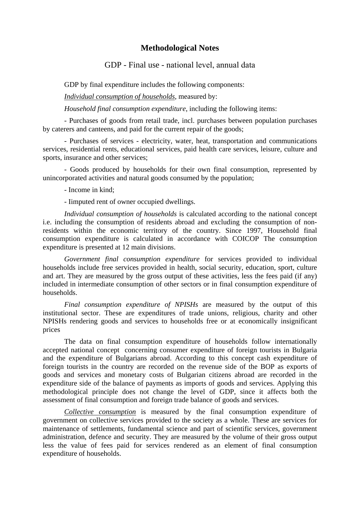## **Methodological Notes**

## GDP - Final use - national level, аnnual data

GDP by final expenditure includes the following components:

*Individual consumption of households*, measured by:

*Household final consumption expenditure*, including the following items:

- Purchases of goods from retail trade, incl. purchases between population purchases by caterers and canteens, and paid for the current repair of the goods;

- Purchases of services - electricity, water, heat, transportation and communications services, residential rents, educational services, paid health care services, leisure, culture and sports, insurance and other services;

- Goods produced by households for their own final consumption, represented by unincorporated activities and natural goods consumed by the population;

## - Income in kind;

- Iimputed rent of owner occupied dwellings.

*Individual consumption of households* is calculated according to the national concept i.e. including the consumption of residents abroad and excluding the consumption of nonresidents within the economic territory of the country. Since 1997, Household final consumption expenditure is calculated in accordance with COICOP The consumption expenditure is presented at 12 main divisions.

*Government final consumption expenditure* for services provided to individual households include free services provided in health, social security, education, sport, culture and art. They are measured by the gross output of these activities, less the fees paid (if any) included in intermediate consumption of other sectors or in final consumption expenditure of households.

*Final consumption expenditure of NPISHs* are measured by the output of this institutional sector. These are expenditures of trade unions, religious, charity and other NPISHs rendering goods and services to households free or at economically insignificant prices

The data on final consumption expenditure of households follow internationally accepted national concept concerning consumer expenditure of foreign tourists in Bulgaria and the expenditure of Bulgarians abroad. According to this concept cash expenditure of foreign tourists in the country are recorded on the revenue side of the BOP as exports of goods and services and monetary costs of Bulgarian citizens abroad are recorded in the expenditure side of the balance of payments as imports of goods and services. Applying this methodological principle does not change the level of GDP, since it affects both the assessment of final consumption and foreign trade balance of goods and services.

*Collective consumption* is measured by the final consumption expenditure of government on collective services provided to the society as a whole. These are services for maintenance of settlements, fundamental science and part of scientific services, government administration, defence and security. They are measured by the volume of their gross output less the value of fees paid for services rendered as an element of final consumption expenditure of households.